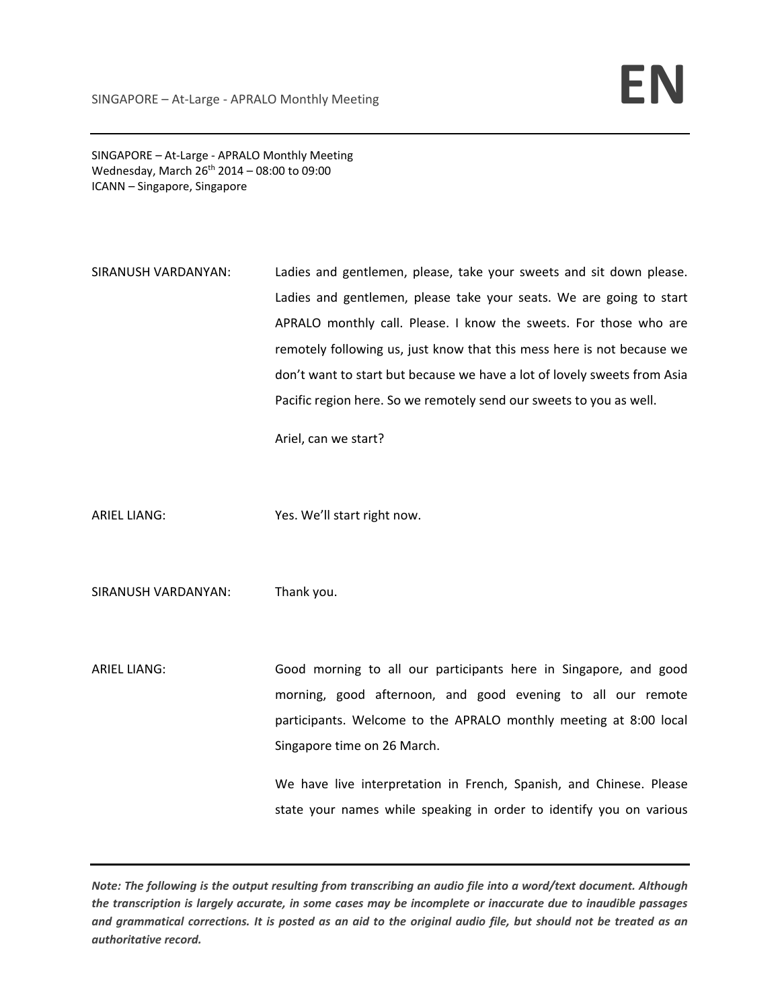SINGAPORE – At‐Large ‐ APRALO Monthly Meeting Wednesday, March  $26^{th}$  2014 – 08:00 to 09:00 ICANN – Singapore, Singapore

SIRANUSH VARDANYAN: Ladies and gentlemen, please, take your sweets and sit down please. Ladies and gentlemen, please take your seats. We are going to start APRALO monthly call. Please. I know the sweets. For those who are remotely following us, just know that this mess here is not because we don't want to start but because we have a lot of lovely sweets from Asia Pacific region here. So we remotely send our sweets to you as well.

Ariel, can we start?

ARIEL LIANG: Yes. We'll start right now.

SIRANUSH VARDANYAN: Thank you.

ARIEL LIANG: Good morning to all our participants here in Singapore, and good morning, good afternoon, and good evening to all our remote participants. Welcome to the APRALO monthly meeting at 8:00 local Singapore time on 26 March.

> We have live interpretation in French, Spanish, and Chinese. Please state your names while speaking in order to identify you on various

Note: The following is the output resulting from transcribing an audio file into a word/text document. Although the transcription is largely accurate, in some cases may be incomplete or inaccurate due to inaudible passages and grammatical corrections. It is posted as an aid to the original audio file, but should not be treated as an *authoritative record.*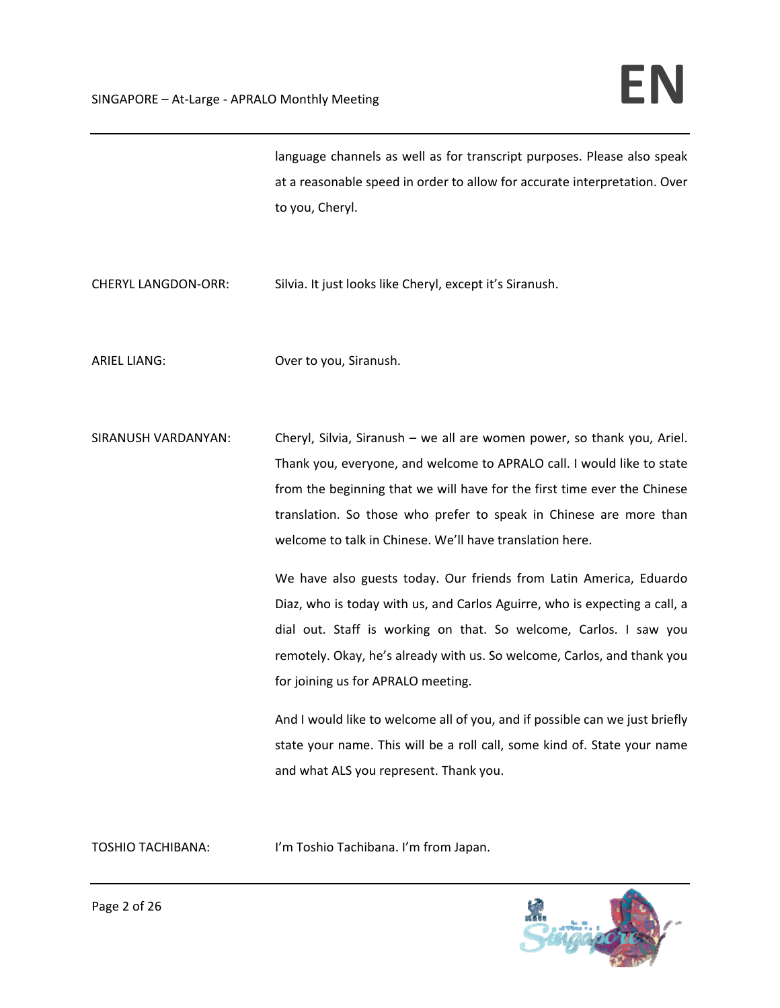language channels as well as for transcript purposes. Please also speak at a reasonable speed in order to allow for accurate interpretation. Over to you, Cheryl.

CHERYL LANGDON-ORR: Silvia. It just looks like Cheryl, except it's Siranush.

ARIEL LIANG: Over to you, Siranush.

SIRANUSH VARDANYAN: Cheryl, Silvia, Siranush – we all are women power, so thank you, Ariel. Thank you, everyone, and welcome to APRALO call. I would like to state from the beginning that we will have for the first time ever the Chinese translation. So those who prefer to speak in Chinese are more than welcome to talk in Chinese. We'll have translation here.

> We have also guests today. Our friends from Latin America, Eduardo Diaz, who is today with us, and Carlos Aguirre, who is expecting a call, a dial out. Staff is working on that. So welcome, Carlos. I saw you remotely. Okay, he's already with us. So welcome, Carlos, and thank you for joining us for APRALO meeting.

> And I would like to welcome all of you, and if possible can we just briefly state your name. This will be a roll call, some kind of. State your name and what ALS you represent. Thank you.

TOSHIO TACHIBANA: I'm Toshio Tachibana. I'm from Japan.

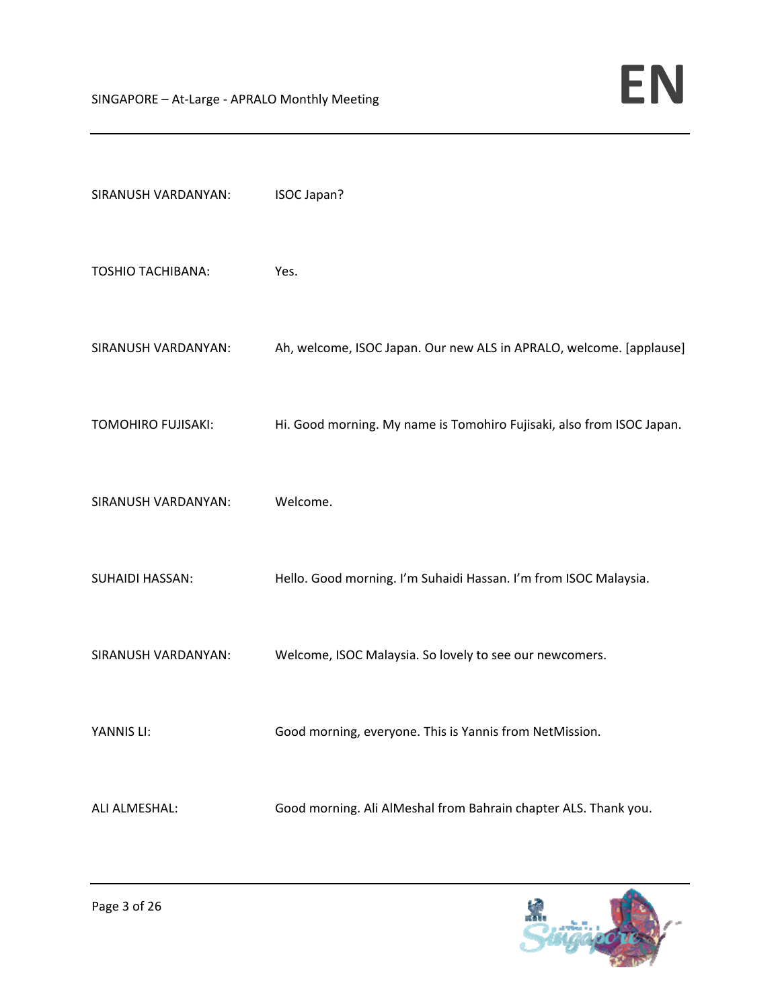| SIRANUSH VARDANYAN:      | ISOC Japan?                                                           |
|--------------------------|-----------------------------------------------------------------------|
| <b>TOSHIO TACHIBANA:</b> | Yes.                                                                  |
| SIRANUSH VARDANYAN:      | Ah, welcome, ISOC Japan. Our new ALS in APRALO, welcome. [applause]   |
| TOMOHIRO FUJISAKI:       | Hi. Good morning. My name is Tomohiro Fujisaki, also from ISOC Japan. |
| SIRANUSH VARDANYAN:      | Welcome.                                                              |
| <b>SUHAIDI HASSAN:</b>   | Hello. Good morning. I'm Suhaidi Hassan. I'm from ISOC Malaysia.      |
| SIRANUSH VARDANYAN:      | Welcome, ISOC Malaysia. So lovely to see our newcomers.               |
| YANNIS LI:               | Good morning, everyone. This is Yannis from NetMission.               |
| ALI ALMESHAL:            | Good morning. Ali AlMeshal from Bahrain chapter ALS. Thank you.       |

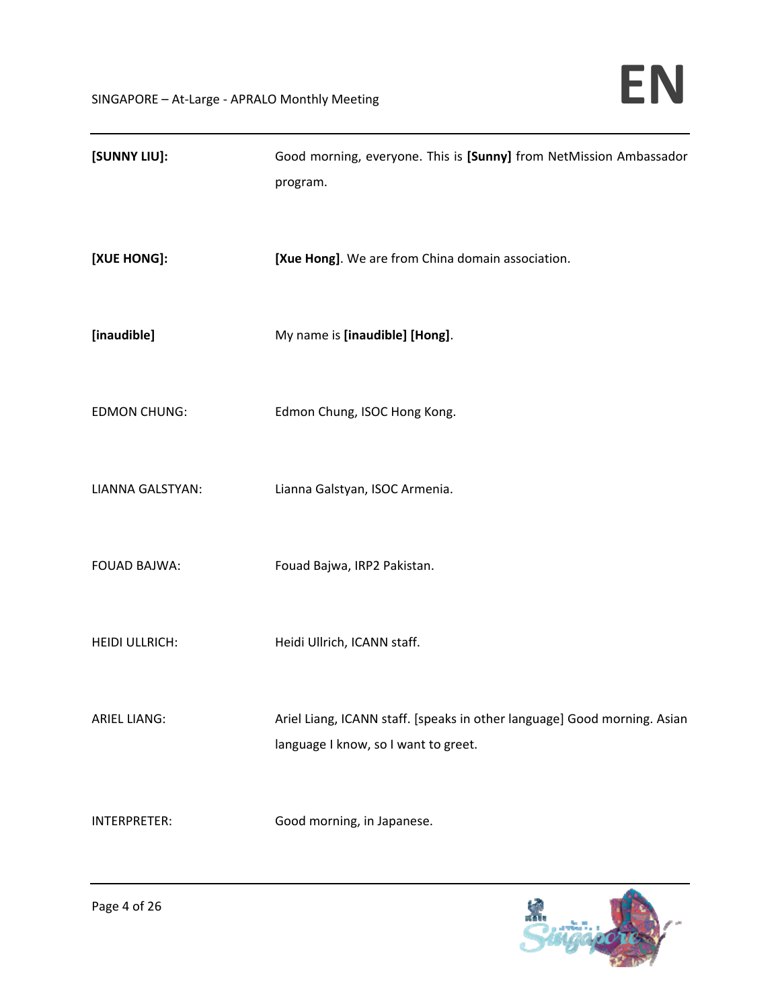| [SUNNY LIU]:          | Good morning, everyone. This is [Sunny] from NetMission Ambassador<br>program.                                   |
|-----------------------|------------------------------------------------------------------------------------------------------------------|
| [XUE HONG]:           | [Xue Hong]. We are from China domain association.                                                                |
| [inaudible]           | My name is [inaudible] [Hong].                                                                                   |
| <b>EDMON CHUNG:</b>   | Edmon Chung, ISOC Hong Kong.                                                                                     |
| LIANNA GALSTYAN:      | Lianna Galstyan, ISOC Armenia.                                                                                   |
| <b>FOUAD BAJWA:</b>   | Fouad Bajwa, IRP2 Pakistan.                                                                                      |
| <b>HEIDI ULLRICH:</b> | Heidi Ullrich, ICANN staff.                                                                                      |
| <b>ARIEL LIANG:</b>   | Ariel Liang, ICANN staff. [speaks in other language] Good morning. Asian<br>language I know, so I want to greet. |
| INTERPRETER:          | Good morning, in Japanese.                                                                                       |

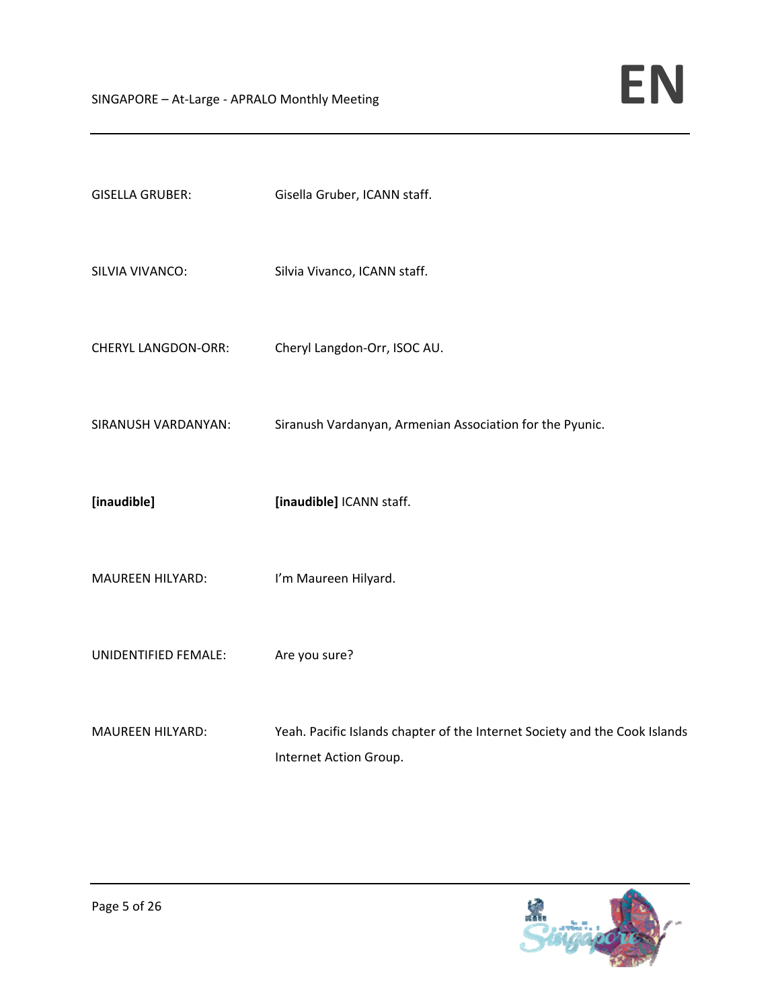| <b>GISELLA GRUBER:</b>     | Gisella Gruber, ICANN staff.                             |
|----------------------------|----------------------------------------------------------|
| SILVIA VIVANCO:            | Silvia Vivanco, ICANN staff.                             |
| <b>CHERYL LANGDON-ORR:</b> | Cheryl Langdon-Orr, ISOC AU.                             |
| SIRANUSH VARDANYAN:        | Siranush Vardanyan, Armenian Association for the Pyunic. |
|                            |                                                          |
| [inaudible]                | [inaudible] ICANN staff.                                 |
| <b>MAUREEN HILYARD:</b>    | I'm Maureen Hilyard.                                     |
| UNIDENTIFIED FEMALE:       | Are you sure?                                            |

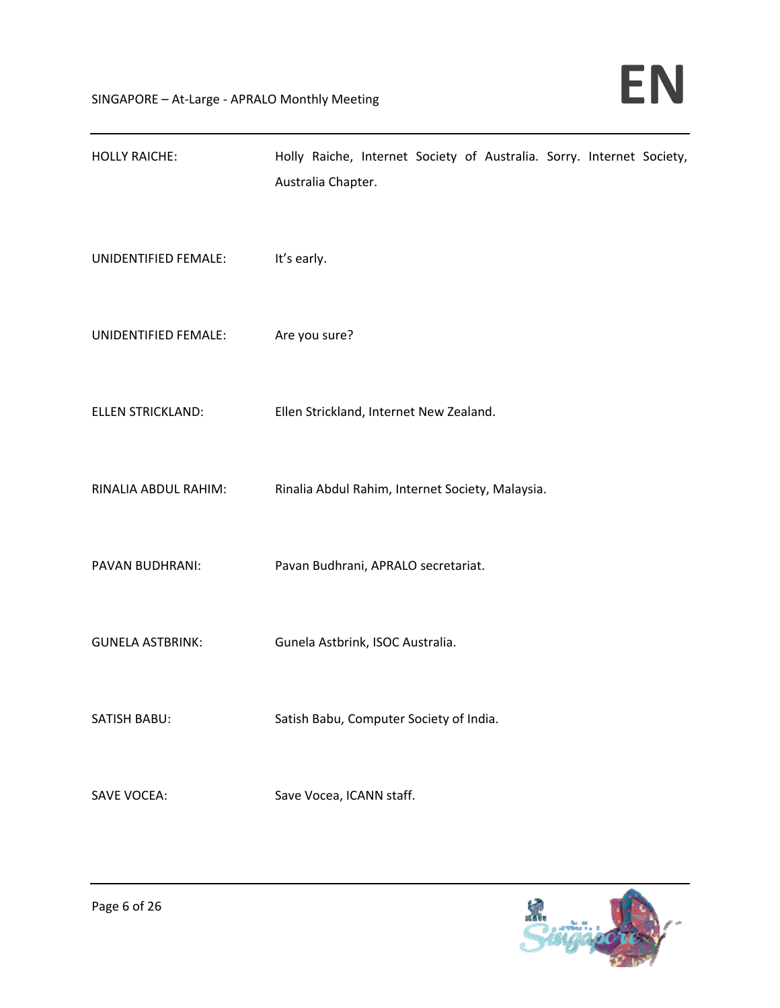| <b>HOLLY RAICHE:</b>     | Holly Raiche, Internet Society of Australia. Sorry. Internet Society, |
|--------------------------|-----------------------------------------------------------------------|
|                          | Australia Chapter.                                                    |
| UNIDENTIFIED FEMALE:     | It's early.                                                           |
|                          |                                                                       |
| UNIDENTIFIED FEMALE:     | Are you sure?                                                         |
|                          |                                                                       |
| <b>ELLEN STRICKLAND:</b> | Ellen Strickland, Internet New Zealand.                               |
|                          |                                                                       |
| RINALIA ABDUL RAHIM:     | Rinalia Abdul Rahim, Internet Society, Malaysia.                      |
|                          |                                                                       |
| PAVAN BUDHRANI:          | Pavan Budhrani, APRALO secretariat.                                   |
| <b>GUNELA ASTBRINK:</b>  | Gunela Astbrink, ISOC Australia.                                      |
|                          |                                                                       |
| SATISH BABU:             | Satish Babu, Computer Society of India.                               |
|                          |                                                                       |
| <b>SAVE VOCEA:</b>       | Save Vocea, ICANN staff.                                              |

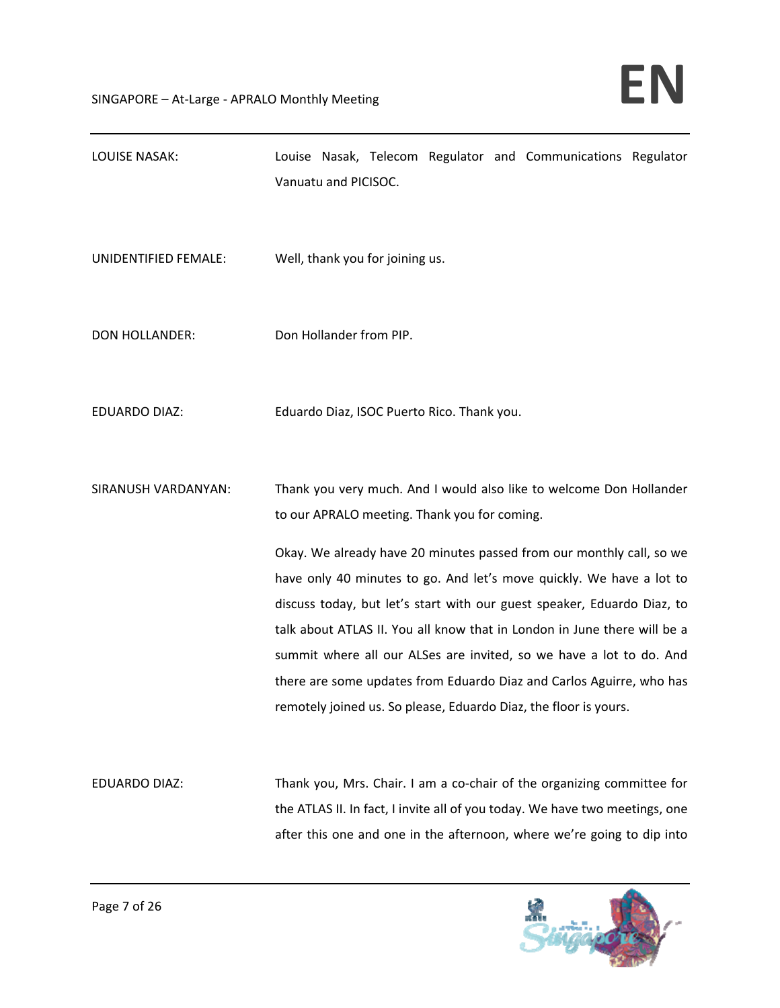| <b>LOUISE NASAK:</b>  | Louise Nasak, Telecom Regulator and Communications Regulator<br>Vanuatu and PICISOC.                                                                                                                                                                                                                                                                                                                                                                                                                                                                                                                                                          |
|-----------------------|-----------------------------------------------------------------------------------------------------------------------------------------------------------------------------------------------------------------------------------------------------------------------------------------------------------------------------------------------------------------------------------------------------------------------------------------------------------------------------------------------------------------------------------------------------------------------------------------------------------------------------------------------|
| UNIDENTIFIED FEMALE:  | Well, thank you for joining us.                                                                                                                                                                                                                                                                                                                                                                                                                                                                                                                                                                                                               |
| <b>DON HOLLANDER:</b> | Don Hollander from PIP.                                                                                                                                                                                                                                                                                                                                                                                                                                                                                                                                                                                                                       |
| <b>EDUARDO DIAZ:</b>  | Eduardo Diaz, ISOC Puerto Rico. Thank you.                                                                                                                                                                                                                                                                                                                                                                                                                                                                                                                                                                                                    |
| SIRANUSH VARDANYAN:   | Thank you very much. And I would also like to welcome Don Hollander<br>to our APRALO meeting. Thank you for coming.<br>Okay. We already have 20 minutes passed from our monthly call, so we<br>have only 40 minutes to go. And let's move quickly. We have a lot to<br>discuss today, but let's start with our guest speaker, Eduardo Diaz, to<br>talk about ATLAS II. You all know that in London in June there will be a<br>summit where all our ALSes are invited, so we have a lot to do. And<br>there are some updates from Eduardo Diaz and Carlos Aguirre, who has<br>remotely joined us. So please, Eduardo Diaz, the floor is yours. |
| EDUARDO DIAZ:         | Thank you, Mrs. Chair. I am a co-chair of the organizing committee for<br>the ATLAS II. In fact, I invite all of you today. We have two meetings, one<br>after this one and one in the afternoon, where we're going to dip into                                                                                                                                                                                                                                                                                                                                                                                                               |

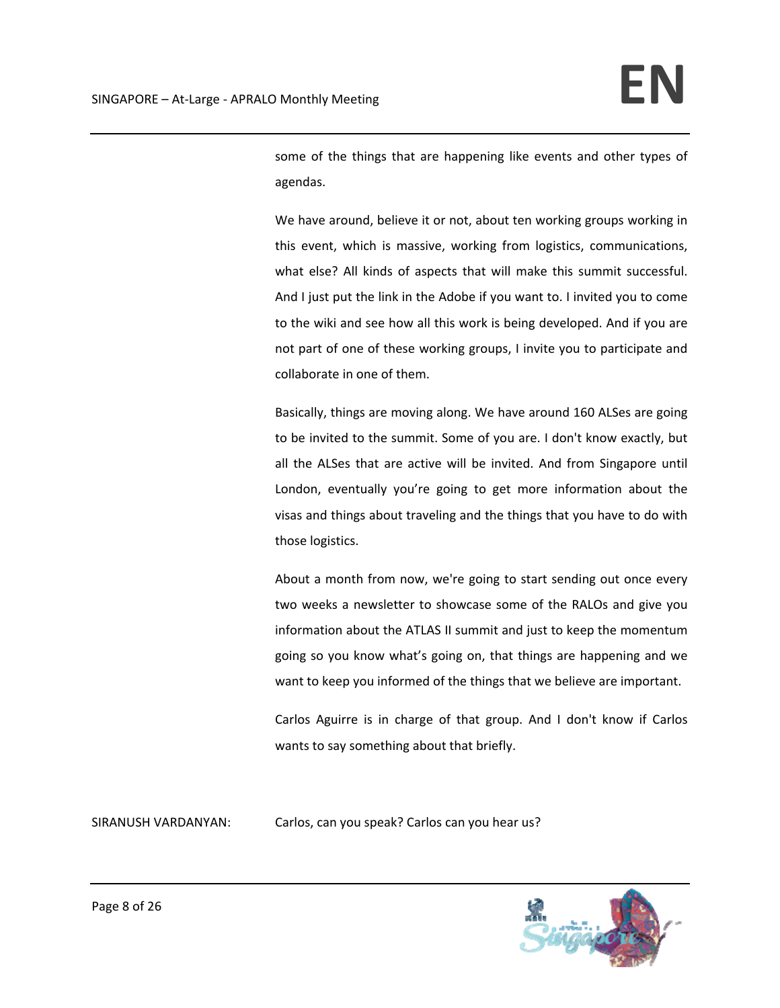some of the things that are happening like events and other types of agendas.

We have around, believe it or not, about ten working groups working in this event, which is massive, working from logistics, communications, what else? All kinds of aspects that will make this summit successful. And I just put the link in the Adobe if you want to. I invited you to come to the wiki and see how all this work is being developed. And if you are not part of one of these working groups, I invite you to participate and collaborate in one of them.

Basically, things are moving along. We have around 160 ALSes are going to be invited to the summit. Some of you are. I don't know exactly, but all the ALSes that are active will be invited. And from Singapore until London, eventually you're going to get more information about the visas and things about traveling and the things that you have to do with those logistics.

About a month from now, we're going to start sending out once every two weeks a newsletter to showcase some of the RALOs and give you information about the ATLAS II summit and just to keep the momentum going so you know what's going on, that things are happening and we want to keep you informed of the things that we believe are important.

Carlos Aguirre is in charge of that group. And I don't know if Carlos wants to say something about that briefly.

SIRANUSH VARDANYAN: Carlos, can you speak? Carlos can you hear us?

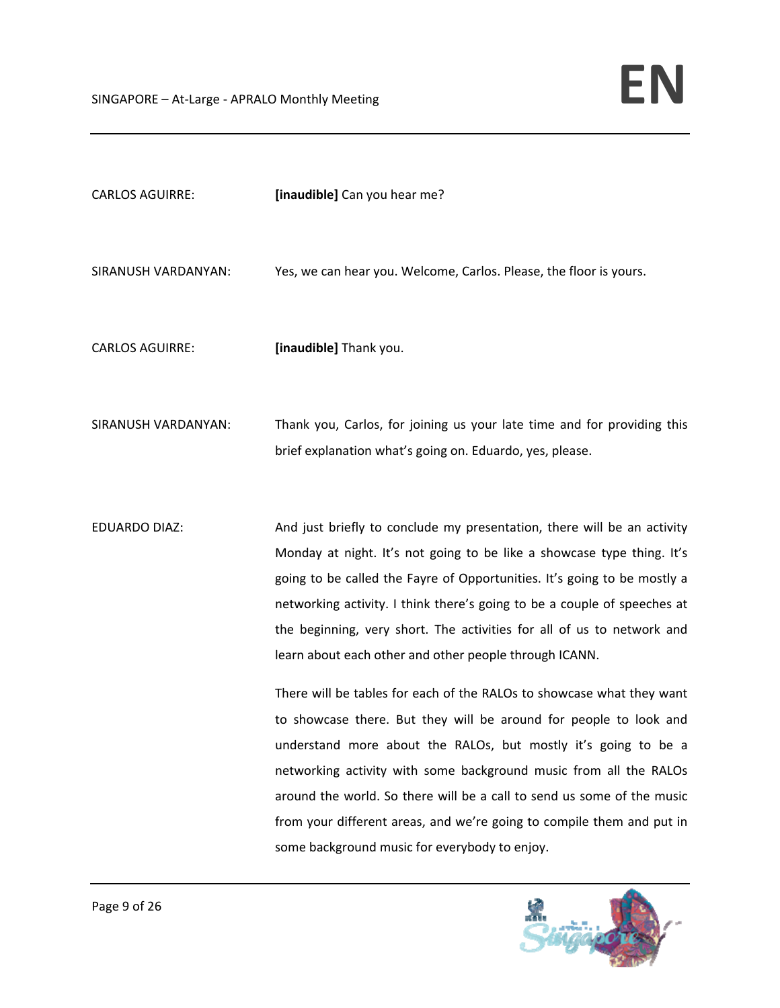| <b>CARLOS AGUIRRE:</b> | [inaudible] Can you hear me?                                                                                                                                                                                                                                                                                                                                                                                                                                                                                                                                                                                                                                                                                                                                                                                                                                                                                                           |
|------------------------|----------------------------------------------------------------------------------------------------------------------------------------------------------------------------------------------------------------------------------------------------------------------------------------------------------------------------------------------------------------------------------------------------------------------------------------------------------------------------------------------------------------------------------------------------------------------------------------------------------------------------------------------------------------------------------------------------------------------------------------------------------------------------------------------------------------------------------------------------------------------------------------------------------------------------------------|
| SIRANUSH VARDANYAN:    | Yes, we can hear you. Welcome, Carlos. Please, the floor is yours.                                                                                                                                                                                                                                                                                                                                                                                                                                                                                                                                                                                                                                                                                                                                                                                                                                                                     |
| <b>CARLOS AGUIRRE:</b> | [inaudible] Thank you.                                                                                                                                                                                                                                                                                                                                                                                                                                                                                                                                                                                                                                                                                                                                                                                                                                                                                                                 |
| SIRANUSH VARDANYAN:    | Thank you, Carlos, for joining us your late time and for providing this<br>brief explanation what's going on. Eduardo, yes, please.                                                                                                                                                                                                                                                                                                                                                                                                                                                                                                                                                                                                                                                                                                                                                                                                    |
| <b>EDUARDO DIAZ:</b>   | And just briefly to conclude my presentation, there will be an activity<br>Monday at night. It's not going to be like a showcase type thing. It's<br>going to be called the Fayre of Opportunities. It's going to be mostly a<br>networking activity. I think there's going to be a couple of speeches at<br>the beginning, very short. The activities for all of us to network and<br>learn about each other and other people through ICANN.<br>There will be tables for each of the RALOs to showcase what they want<br>to showcase there. But they will be around for people to look and<br>understand more about the RALOs, but mostly it's going to be a<br>networking activity with some background music from all the RALOs<br>around the world. So there will be a call to send us some of the music<br>from your different areas, and we're going to compile them and put in<br>some background music for everybody to enjoy. |

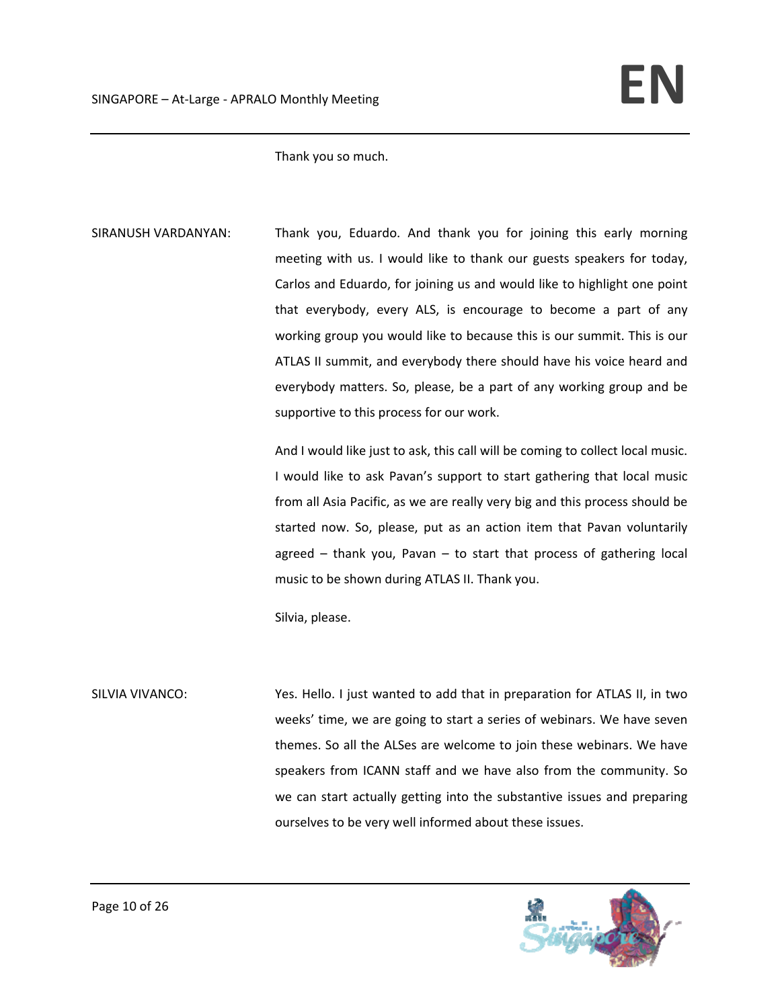Thank you so much.

SIRANUSH VARDANYAN: Thank you, Eduardo. And thank you for joining this early morning meeting with us. I would like to thank our guests speakers for today, Carlos and Eduardo, for joining us and would like to highlight one point that everybody, every ALS, is encourage to become a part of any working group you would like to because this is our summit. This is our ATLAS II summit, and everybody there should have his voice heard and everybody matters. So, please, be a part of any working group and be supportive to this process for our work.

> And I would like just to ask, this call will be coming to collect local music. I would like to ask Pavan's support to start gathering that local music from all Asia Pacific, as we are really very big and this process should be started now. So, please, put as an action item that Pavan voluntarily agreed  $-$  thank you, Pavan  $-$  to start that process of gathering local music to be shown during ATLAS II. Thank you.

Silvia, please.

SILVIA VIVANCO: Yes. Hello. I just wanted to add that in preparation for ATLAS II, in two weeks' time, we are going to start a series of webinars. We have seven themes. So all the ALSes are welcome to join these webinars. We have speakers from ICANN staff and we have also from the community. So we can start actually getting into the substantive issues and preparing ourselves to be very well informed about these issues.

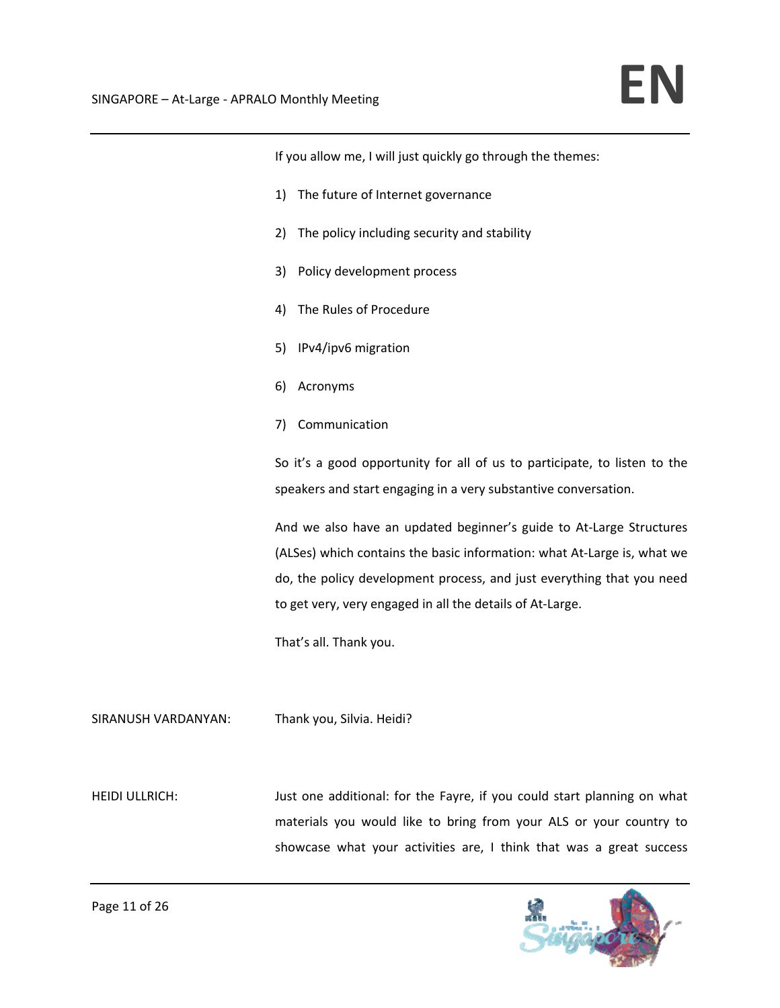If you allow me, I will just quickly go through the themes: 1) The future of Internet governance 2) The policy including security and stability 3) Policy development process 4) The Rules of Procedure 5) IPv4/ipv6 migration 6) Acronyms 7) Communication So it's a good opportunity for all of us to participate, to listen to the speakers and start engaging in a very substantive conversation. And we also have an updated beginner's guide to At‐Large Structures (ALSes) which contains the basic information: what At‐Large is, what we do, the policy development process, and just everything that you need to get very, very engaged in all the details of At‐Large. That's all. Thank you. SIRANUSH VARDANYAN: Thank you, Silvia. Heidi?

HEIDI ULLRICH: Just one additional: for the Fayre, if you could start planning on what materials you would like to bring from your ALS or your country to showcase what your activities are, I think that was a great success

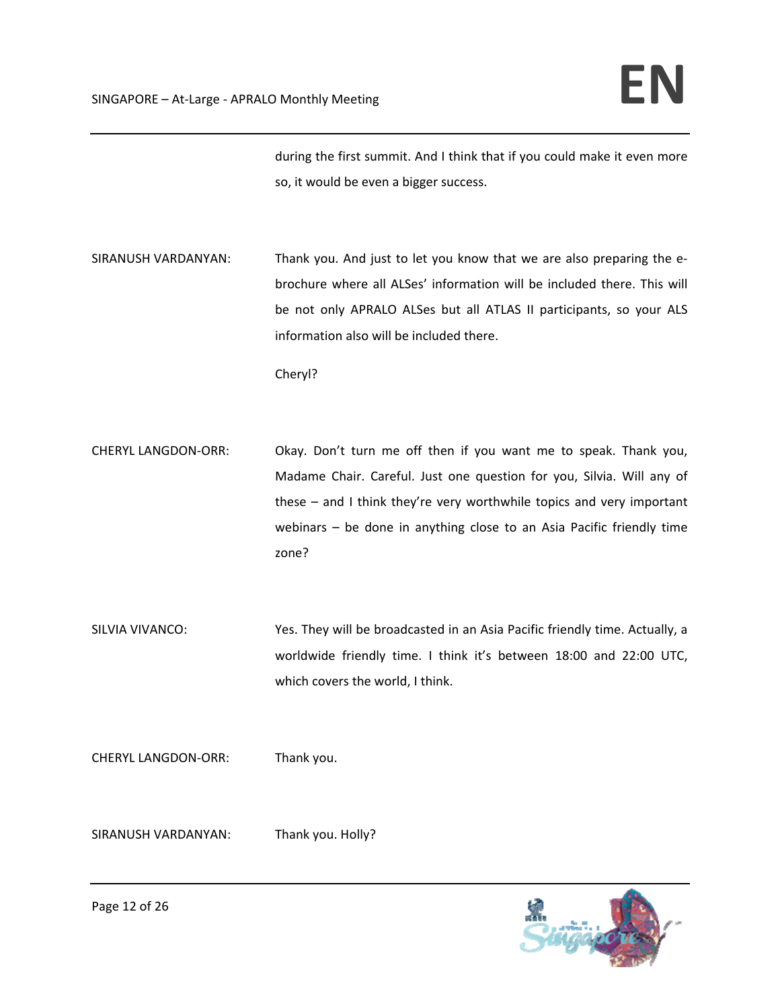during the first summit. And I think that if you could make it even more so, it would be even a bigger success.

SIRANUSH VARDANYAN: Thank you. And just to let you know that we are also preparing the ebrochure where all ALSes' information will be included there. This will be not only APRALO ALSes but all ATLAS II participants, so your ALS information also will be included there.

Cheryl?

- CHERYL LANGDON‐ORR: Okay. Don't turn me off then if you want me to speak. Thank you, Madame Chair. Careful. Just one question for you, Silvia. Will any of these – and I think they're very worthwhile topics and very important webinars – be done in anything close to an Asia Pacific friendly time zone?
- SILVIA VIVANCO: Yes. They will be broadcasted in an Asia Pacific friendly time. Actually, a worldwide friendly time. I think it's between 18:00 and 22:00 UTC, which covers the world, I think.

CHERYL LANGDON‐ORR: Thank you.

SIRANUSH VARDANYAN: Thank you. Holly?

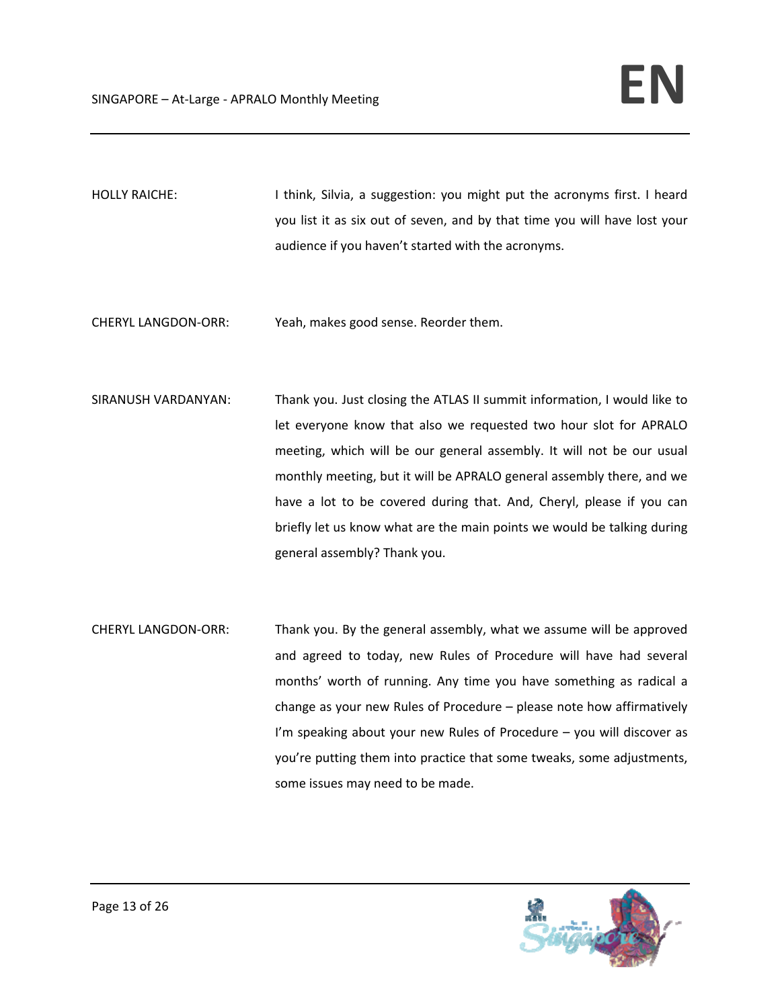- HOLLY RAICHE: I think, Silvia, a suggestion: you might put the acronyms first. I heard you list it as six out of seven, and by that time you will have lost your audience if you haven't started with the acronyms.
- CHERYL LANGDON‐ORR: Yeah, makes good sense. Reorder them.
- SIRANUSH VARDANYAN: Thank you. Just closing the ATLAS II summit information, I would like to let everyone know that also we requested two hour slot for APRALO meeting, which will be our general assembly. It will not be our usual monthly meeting, but it will be APRALO general assembly there, and we have a lot to be covered during that. And, Cheryl, please if you can briefly let us know what are the main points we would be talking during general assembly? Thank you.
- CHERYL LANGDON-ORR: Thank you. By the general assembly, what we assume will be approved and agreed to today, new Rules of Procedure will have had several months' worth of running. Any time you have something as radical a change as your new Rules of Procedure – please note how affirmatively I'm speaking about your new Rules of Procedure – you will discover as you're putting them into practice that some tweaks, some adjustments, some issues may need to be made.

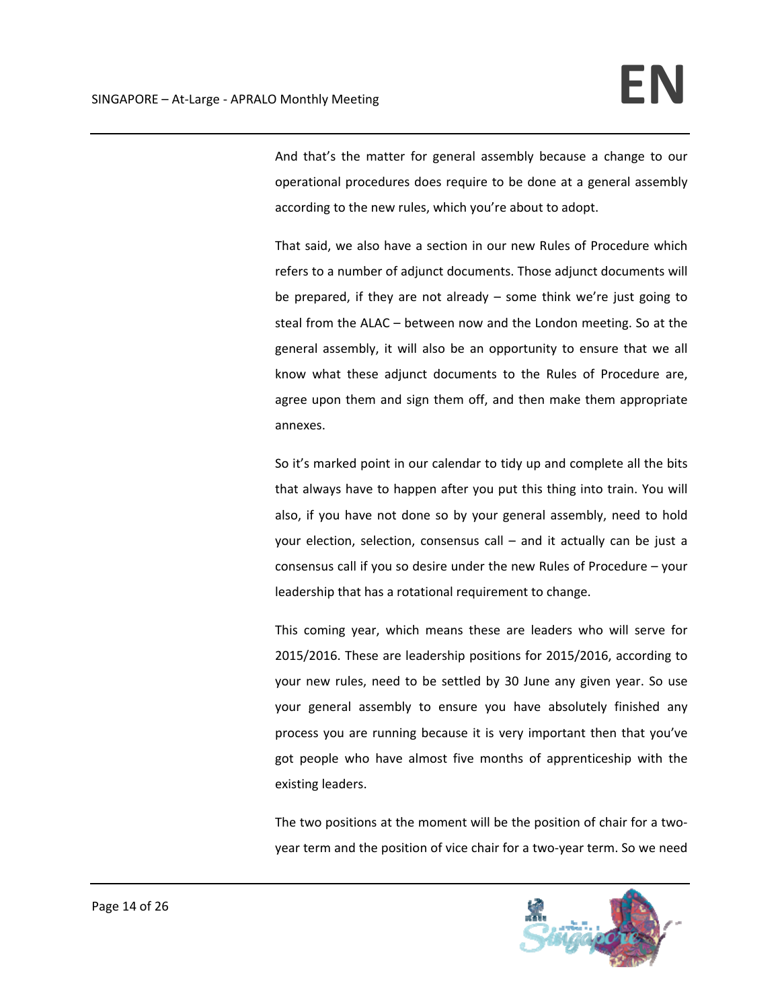And that's the matter for general assembly because a change to our operational procedures does require to be done at a general assembly according to the new rules, which you're about to adopt.

That said, we also have a section in our new Rules of Procedure which refers to a number of adjunct documents. Those adjunct documents will be prepared, if they are not already – some think we're just going to steal from the ALAC – between now and the London meeting. So at the general assembly, it will also be an opportunity to ensure that we all know what these adjunct documents to the Rules of Procedure are, agree upon them and sign them off, and then make them appropriate annexes.

So it's marked point in our calendar to tidy up and complete all the bits that always have to happen after you put this thing into train. You will also, if you have not done so by your general assembly, need to hold your election, selection, consensus call – and it actually can be just a consensus call if you so desire under the new Rules of Procedure – your leadership that has a rotational requirement to change.

This coming year, which means these are leaders who will serve for 2015/2016. These are leadership positions for 2015/2016, according to your new rules, need to be settled by 30 June any given year. So use your general assembly to ensure you have absolutely finished any process you are running because it is very important then that you've got people who have almost five months of apprenticeship with the existing leaders.

The two positions at the moment will be the position of chair for a twoyear term and the position of vice chair for a two‐year term. So we need

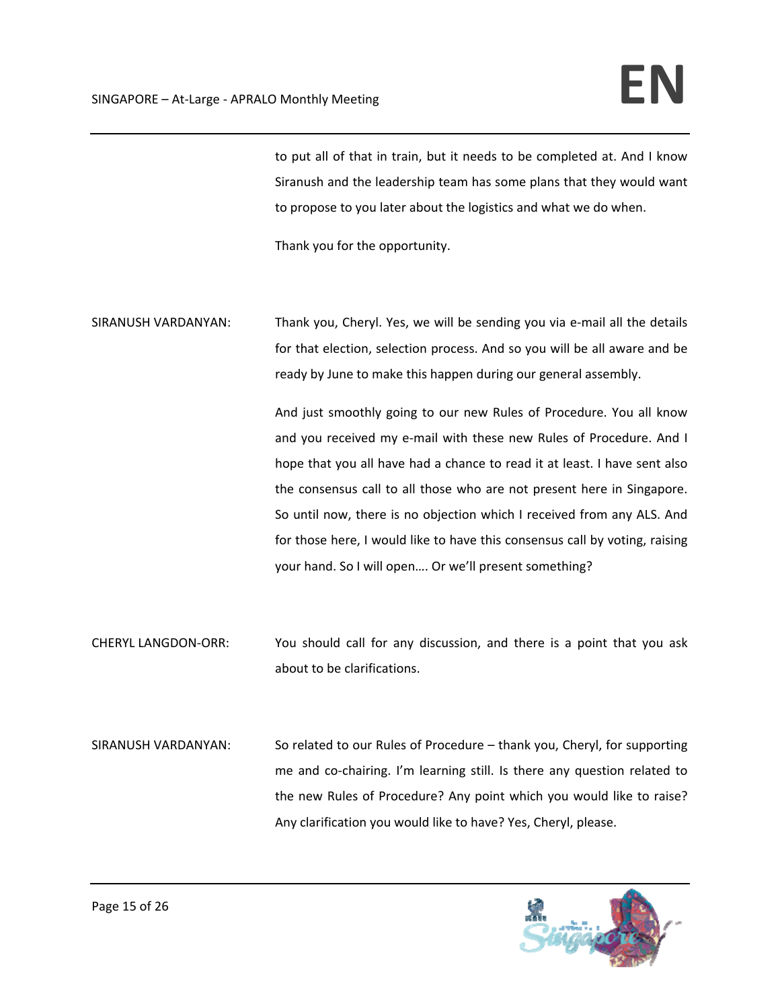to put all of that in train, but it needs to be completed at. And I know Siranush and the leadership team has some plans that they would want to propose to you later about the logistics and what we do when.

Thank you for the opportunity.

SIRANUSH VARDANYAN: Thank you, Cheryl. Yes, we will be sending you via e‐mail all the details for that election, selection process. And so you will be all aware and be ready by June to make this happen during our general assembly.

> And just smoothly going to our new Rules of Procedure. You all know and you received my e-mail with these new Rules of Procedure. And I hope that you all have had a chance to read it at least. I have sent also the consensus call to all those who are not present here in Singapore. So until now, there is no objection which I received from any ALS. And for those here, I would like to have this consensus call by voting, raising your hand. So I will open…. Or we'll present something?

- CHERYL LANGDON‐ORR: You should call for any discussion, and there is a point that you ask about to be clarifications.
- SIRANUSH VARDANYAN: So related to our Rules of Procedure thank you, Cheryl, for supporting me and co-chairing. I'm learning still. Is there any question related to the new Rules of Procedure? Any point which you would like to raise? Any clarification you would like to have? Yes, Cheryl, please.

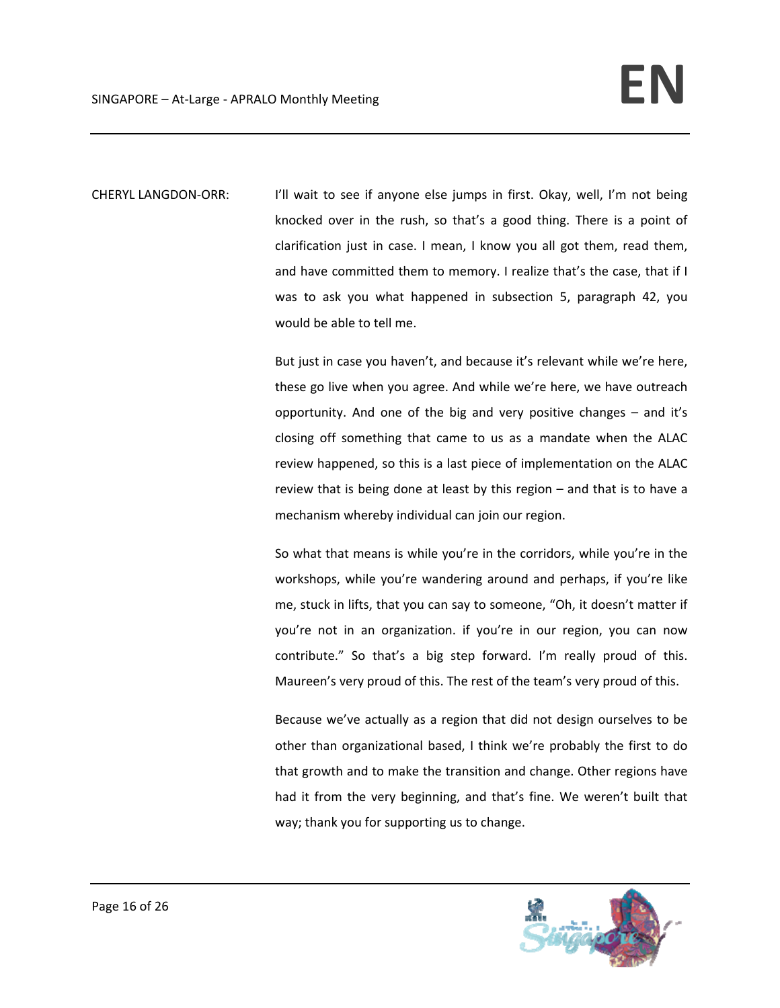CHERYL LANGDON-ORR: I'll wait to see if anyone else jumps in first. Okay, well, I'm not being knocked over in the rush, so that's a good thing. There is a point of clarification just in case. I mean, I know you all got them, read them, and have committed them to memory. I realize that's the case, that if I was to ask you what happened in subsection 5, paragraph 42, you would be able to tell me.

> But just in case you haven't, and because it's relevant while we're here, these go live when you agree. And while we're here, we have outreach opportunity. And one of the big and very positive changes – and it's closing off something that came to us as a mandate when the ALAC review happened, so this is a last piece of implementation on the ALAC review that is being done at least by this region – and that is to have a mechanism whereby individual can join our region.

> So what that means is while you're in the corridors, while you're in the workshops, while you're wandering around and perhaps, if you're like me, stuck in lifts, that you can say to someone, "Oh, it doesn't matter if you're not in an organization. if you're in our region, you can now contribute." So that's a big step forward. I'm really proud of this. Maureen's very proud of this. The rest of the team's very proud of this.

> Because we've actually as a region that did not design ourselves to be other than organizational based, I think we're probably the first to do that growth and to make the transition and change. Other regions have had it from the very beginning, and that's fine. We weren't built that way; thank you for supporting us to change.

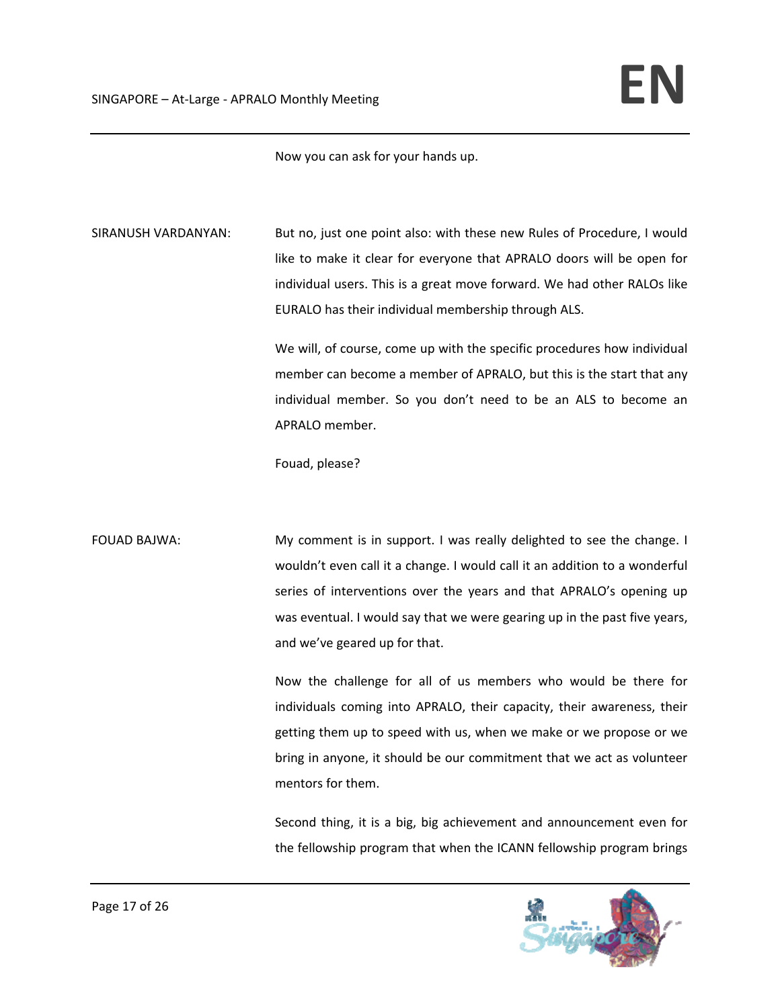Now you can ask for your hands up.

SIRANUSH VARDANYAN: But no, just one point also: with these new Rules of Procedure, I would like to make it clear for everyone that APRALO doors will be open for individual users. This is a great move forward. We had other RALOs like EURALO has their individual membership through ALS.

> We will, of course, come up with the specific procedures how individual member can become a member of APRALO, but this is the start that any individual member. So you don't need to be an ALS to become an APRALO member.

Fouad, please?

FOUAD BAJWA: My comment is in support. I was really delighted to see the change. I wouldn't even call it a change. I would call it an addition to a wonderful series of interventions over the years and that APRALO's opening up was eventual. I would say that we were gearing up in the past five years, and we've geared up for that.

> Now the challenge for all of us members who would be there for individuals coming into APRALO, their capacity, their awareness, their getting them up to speed with us, when we make or we propose or we bring in anyone, it should be our commitment that we act as volunteer mentors for them.

> Second thing, it is a big, big achievement and announcement even for the fellowship program that when the ICANN fellowship program brings

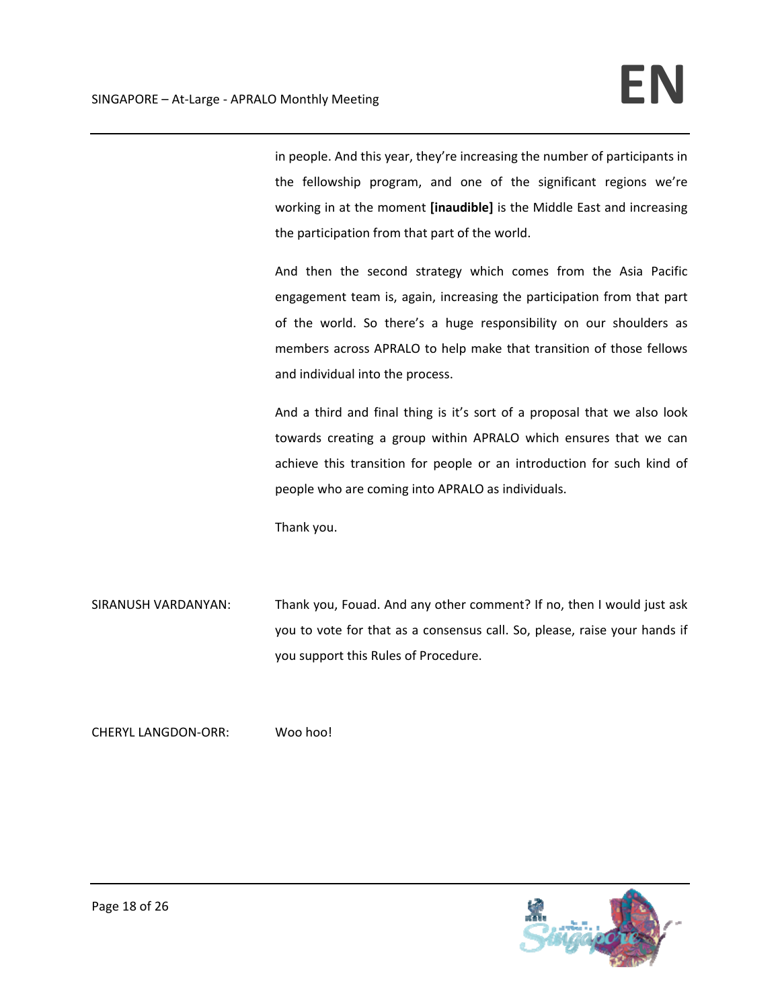in people. And this year, they're increasing the number of participants in the fellowship program, and one of the significant regions we're working in at the moment **[inaudible]** is the Middle East and increasing the participation from that part of the world.

And then the second strategy which comes from the Asia Pacific engagement team is, again, increasing the participation from that part of the world. So there's a huge responsibility on our shoulders as members across APRALO to help make that transition of those fellows and individual into the process.

And a third and final thing is it's sort of a proposal that we also look towards creating a group within APRALO which ensures that we can achieve this transition for people or an introduction for such kind of people who are coming into APRALO as individuals.

Thank you.

SIRANUSH VARDANYAN: Thank you, Fouad. And any other comment? If no, then I would just ask you to vote for that as a consensus call. So, please, raise your hands if you support this Rules of Procedure.

CHERYL LANGDON‐ORR: Woo hoo!

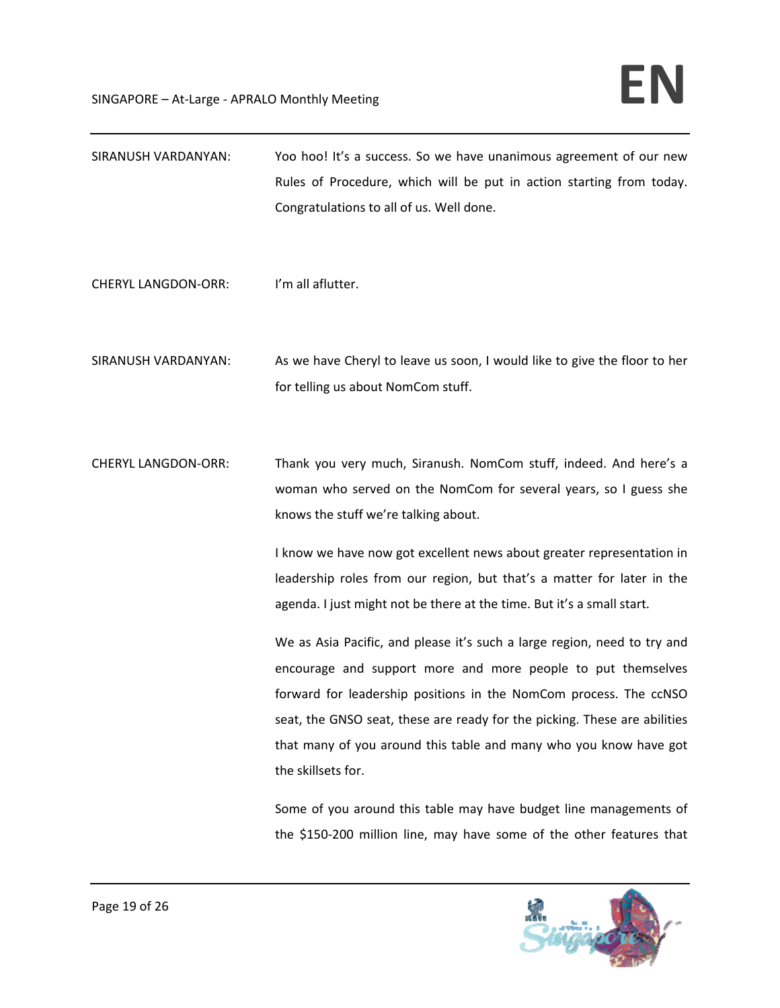| SIRANUSH VARDANYAN:        | Yoo hoo! It's a success. So we have unanimous agreement of our new<br>Rules of Procedure, which will be put in action starting from today.<br>Congratulations to all of us. Well done.                                                                                                                                                                                                                                                                                                                                                                                                                                                                                                                                                                                                              |
|----------------------------|-----------------------------------------------------------------------------------------------------------------------------------------------------------------------------------------------------------------------------------------------------------------------------------------------------------------------------------------------------------------------------------------------------------------------------------------------------------------------------------------------------------------------------------------------------------------------------------------------------------------------------------------------------------------------------------------------------------------------------------------------------------------------------------------------------|
| <b>CHERYL LANGDON-ORR:</b> | I'm all aflutter.                                                                                                                                                                                                                                                                                                                                                                                                                                                                                                                                                                                                                                                                                                                                                                                   |
| SIRANUSH VARDANYAN:        | As we have Cheryl to leave us soon, I would like to give the floor to her<br>for telling us about NomCom stuff.                                                                                                                                                                                                                                                                                                                                                                                                                                                                                                                                                                                                                                                                                     |
| <b>CHERYL LANGDON-ORR:</b> | Thank you very much, Siranush. NomCom stuff, indeed. And here's a<br>woman who served on the NomCom for several years, so I guess she<br>knows the stuff we're talking about.<br>I know we have now got excellent news about greater representation in<br>leadership roles from our region, but that's a matter for later in the<br>agenda. I just might not be there at the time. But it's a small start.<br>We as Asia Pacific, and please it's such a large region, need to try and<br>encourage and support more and more people to put themselves<br>forward for leadership positions in the NomCom process. The ccNSO<br>seat, the GNSO seat, these are ready for the picking. These are abilities<br>that many of you around this table and many who you know have got<br>the skillsets for. |
|                            | Some of you around this table may have budget line managements of                                                                                                                                                                                                                                                                                                                                                                                                                                                                                                                                                                                                                                                                                                                                   |



the \$150‐200 million line, may have some of the other features that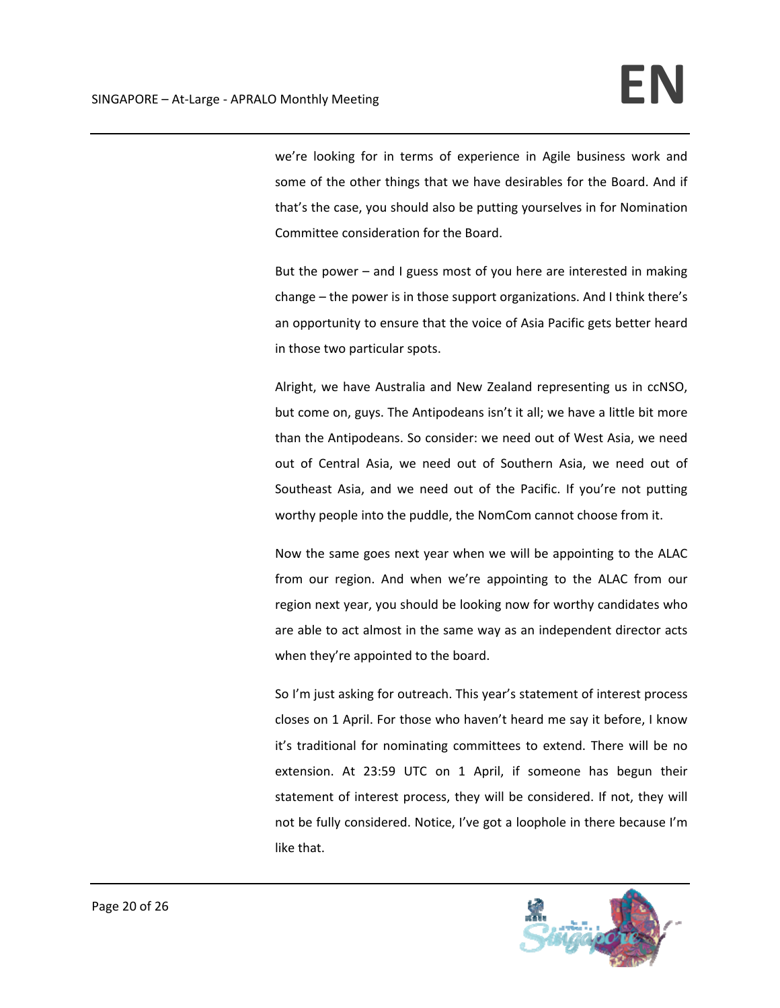we're looking for in terms of experience in Agile business work and some of the other things that we have desirables for the Board. And if that's the case, you should also be putting yourselves in for Nomination Committee consideration for the Board.

But the power – and I guess most of you here are interested in making change – the power is in those support organizations. And I think there's an opportunity to ensure that the voice of Asia Pacific gets better heard in those two particular spots.

Alright, we have Australia and New Zealand representing us in ccNSO, but come on, guys. The Antipodeans isn't it all; we have a little bit more than the Antipodeans. So consider: we need out of West Asia, we need out of Central Asia, we need out of Southern Asia, we need out of Southeast Asia, and we need out of the Pacific. If you're not putting worthy people into the puddle, the NomCom cannot choose from it.

Now the same goes next year when we will be appointing to the ALAC from our region. And when we're appointing to the ALAC from our region next year, you should be looking now for worthy candidates who are able to act almost in the same way as an independent director acts when they're appointed to the board.

So I'm just asking for outreach. This year's statement of interest process closes on 1 April. For those who haven't heard me say it before, I know it's traditional for nominating committees to extend. There will be no extension. At 23:59 UTC on 1 April, if someone has begun their statement of interest process, they will be considered. If not, they will not be fully considered. Notice, I've got a loophole in there because I'm like that.

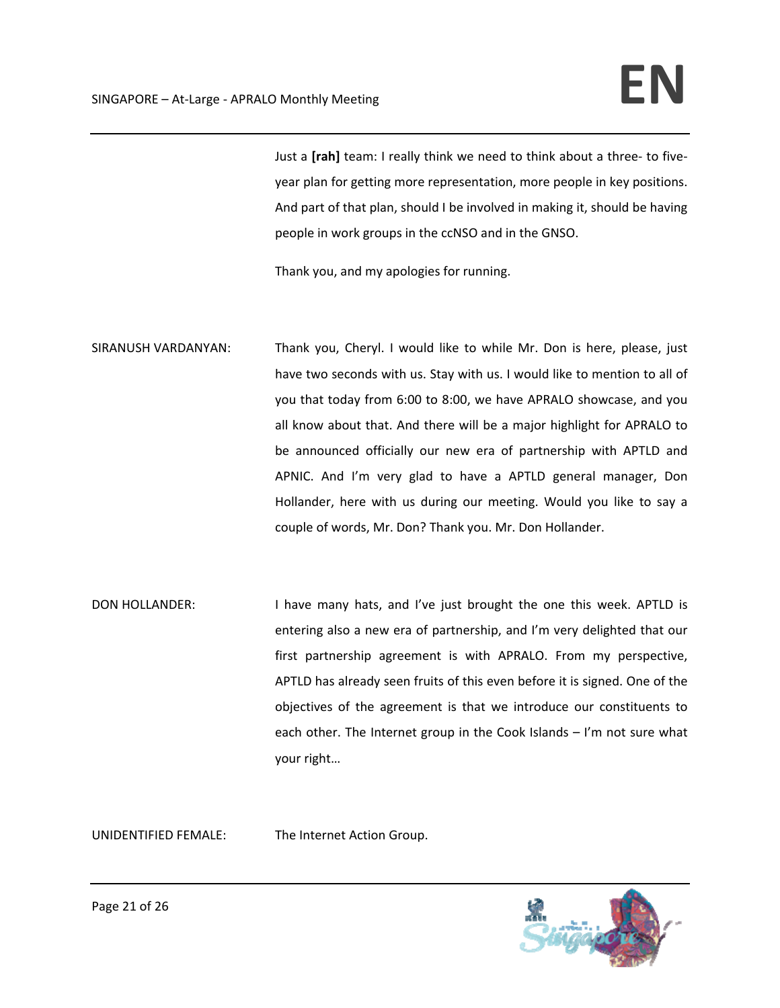Just a **[rah]** team: I really think we need to think about a three‐ to five‐ year plan for getting more representation, more people in key positions. And part of that plan, should I be involved in making it, should be having people in work groups in the ccNSO and in the GNSO.

Thank you, and my apologies for running.

- SIRANUSH VARDANYAN: Thank you, Cheryl. I would like to while Mr. Don is here, please, just have two seconds with us. Stay with us. I would like to mention to all of you that today from 6:00 to 8:00, we have APRALO showcase, and you all know about that. And there will be a major highlight for APRALO to be announced officially our new era of partnership with APTLD and APNIC. And I'm very glad to have a APTLD general manager, Don Hollander, here with us during our meeting. Would you like to say a couple of words, Mr. Don? Thank you. Mr. Don Hollander.
- DON HOLLANDER: I have many hats, and I've just brought the one this week. APTLD is entering also a new era of partnership, and I'm very delighted that our first partnership agreement is with APRALO. From my perspective, APTLD has already seen fruits of this even before it is signed. One of the objectives of the agreement is that we introduce our constituents to each other. The Internet group in the Cook Islands – I'm not sure what your right…

UNIDENTIFIED FEMALE: The Internet Action Group.

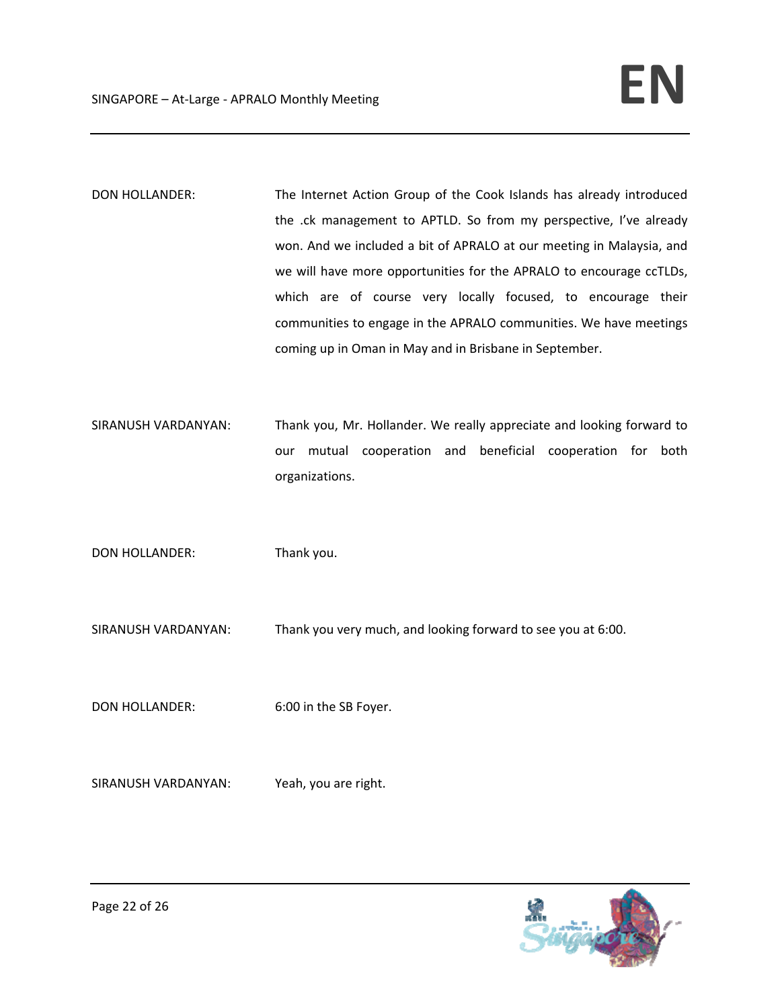DON HOLLANDER: The Internet Action Group of the Cook Islands has already introduced the .ck management to APTLD. So from my perspective, I've already won. And we included a bit of APRALO at our meeting in Malaysia, and we will have more opportunities for the APRALO to encourage ccTLDs, which are of course very locally focused, to encourage their communities to engage in the APRALO communities. We have meetings coming up in Oman in May and in Brisbane in September.

SIRANUSH VARDANYAN: Thank you, Mr. Hollander. We really appreciate and looking forward to our mutual cooperation and beneficial cooperation for both organizations.

DON HOLLANDER: Thank you.

SIRANUSH VARDANYAN: Thank you very much, and looking forward to see you at 6:00.

DON HOLLANDER: 6:00 in the SB Foyer.

SIRANUSH VARDANYAN: Yeah, you are right.

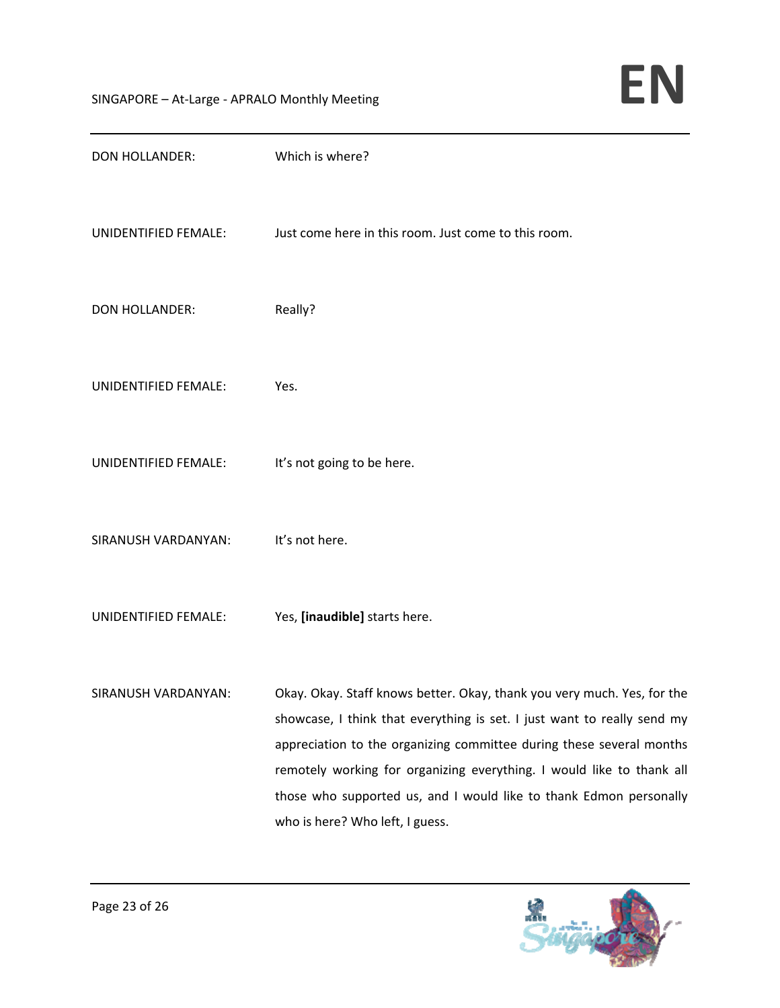| <b>DON HOLLANDER:</b> | Which is where?                                                                                                                                                                                                                                                                                                                                                                                              |
|-----------------------|--------------------------------------------------------------------------------------------------------------------------------------------------------------------------------------------------------------------------------------------------------------------------------------------------------------------------------------------------------------------------------------------------------------|
| UNIDENTIFIED FEMALE:  | Just come here in this room. Just come to this room.                                                                                                                                                                                                                                                                                                                                                         |
| <b>DON HOLLANDER:</b> | Really?                                                                                                                                                                                                                                                                                                                                                                                                      |
| UNIDENTIFIED FEMALE:  | Yes.                                                                                                                                                                                                                                                                                                                                                                                                         |
| UNIDENTIFIED FEMALE:  | It's not going to be here.                                                                                                                                                                                                                                                                                                                                                                                   |
| SIRANUSH VARDANYAN:   | It's not here.                                                                                                                                                                                                                                                                                                                                                                                               |
| UNIDENTIFIED FEMALE:  | Yes, [inaudible] starts here.                                                                                                                                                                                                                                                                                                                                                                                |
| SIRANUSH VARDANYAN:   | Okay. Okay. Staff knows better. Okay, thank you very much. Yes, for the<br>showcase, I think that everything is set. I just want to really send my<br>appreciation to the organizing committee during these several months<br>remotely working for organizing everything. I would like to thank all<br>those who supported us, and I would like to thank Edmon personally<br>who is here? Who left, I guess. |

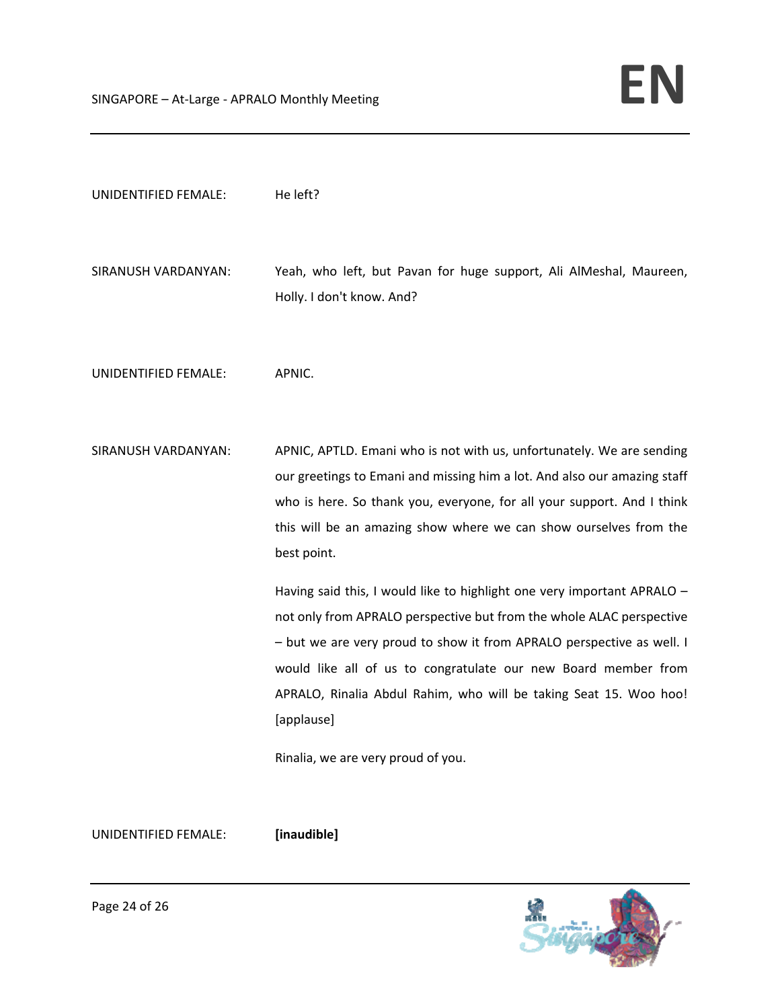| UNIDENTIFIED FEMALE: | He left?                                                                                                                                                                                                                                                                                                                                                                                                            |
|----------------------|---------------------------------------------------------------------------------------------------------------------------------------------------------------------------------------------------------------------------------------------------------------------------------------------------------------------------------------------------------------------------------------------------------------------|
| SIRANUSH VARDANYAN:  | Yeah, who left, but Pavan for huge support, Ali AlMeshal, Maureen,<br>Holly. I don't know. And?                                                                                                                                                                                                                                                                                                                     |
| UNIDENTIFIED FEMALE: | APNIC.                                                                                                                                                                                                                                                                                                                                                                                                              |
| SIRANUSH VARDANYAN:  | APNIC, APTLD. Emani who is not with us, unfortunately. We are sending<br>our greetings to Emani and missing him a lot. And also our amazing staff<br>who is here. So thank you, everyone, for all your support. And I think<br>this will be an amazing show where we can show ourselves from the<br>best point.                                                                                                     |
|                      | Having said this, I would like to highlight one very important APRALO -<br>not only from APRALO perspective but from the whole ALAC perspective<br>- but we are very proud to show it from APRALO perspective as well. I<br>would like all of us to congratulate our new Board member from<br>APRALO, Rinalia Abdul Rahim, who will be taking Seat 15. Woo hoo!<br>[applause]<br>Rinalia, we are very proud of you. |

UNIDENTIFIED FEMALE: **[inaudible]**

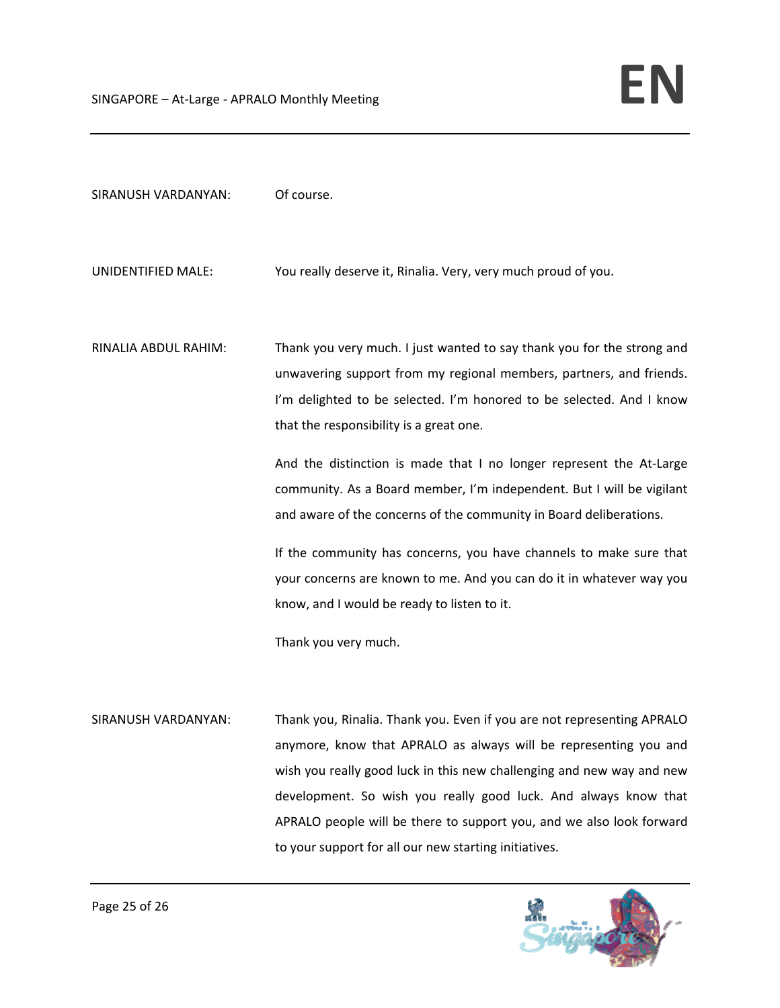| SIRANUSH VARDANYAN:  | Of course.                                                                                                                                                                                                                                                                                                                                                                                                                                                                             |
|----------------------|----------------------------------------------------------------------------------------------------------------------------------------------------------------------------------------------------------------------------------------------------------------------------------------------------------------------------------------------------------------------------------------------------------------------------------------------------------------------------------------|
| UNIDENTIFIED MALE:   | You really deserve it, Rinalia. Very, very much proud of you.                                                                                                                                                                                                                                                                                                                                                                                                                          |
| RINALIA ABDUL RAHIM: | Thank you very much. I just wanted to say thank you for the strong and<br>unwavering support from my regional members, partners, and friends.<br>I'm delighted to be selected. I'm honored to be selected. And I know<br>that the responsibility is a great one.<br>And the distinction is made that I no longer represent the At-Large<br>community. As a Board member, I'm independent. But I will be vigilant<br>and aware of the concerns of the community in Board deliberations. |
|                      | If the community has concerns, you have channels to make sure that<br>your concerns are known to me. And you can do it in whatever way you<br>know, and I would be ready to listen to it.                                                                                                                                                                                                                                                                                              |
|                      | Thank you very much.                                                                                                                                                                                                                                                                                                                                                                                                                                                                   |
| SIRANUSH VARDANYAN:  | Thank you, Rinalia. Thank you. Even if you are not representing APRALO<br>anymore, know that APRALO as always will be representing you and                                                                                                                                                                                                                                                                                                                                             |

wish you really good luck in this new challenging and new way and new development. So wish you really good luck. And always know that APRALO people will be there to support you, and we also look forward to your support for all our new starting initiatives.